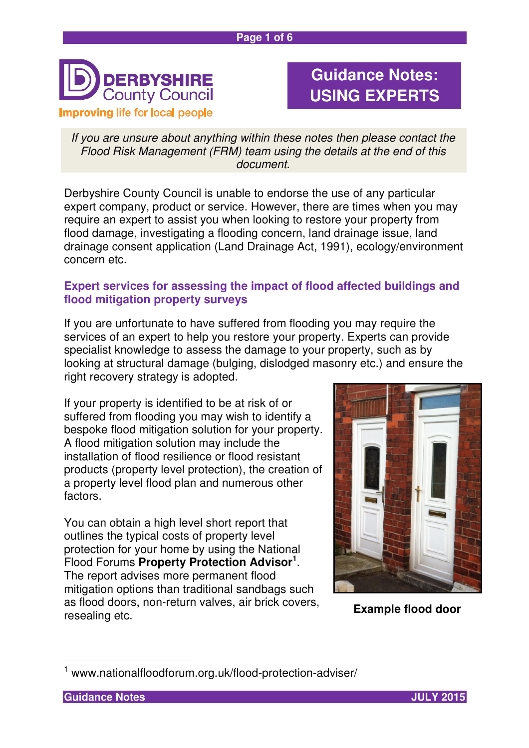

# **Guidance Notes: USING EXPERTS**

If you are unsure about anything within these notes then please contact the Flood Risk Management (FRM) team using the details at the end of this document.

Derbyshire County Council is unable to endorse the use of any particular expert company, product or service. However, there are times when you may require an expert to assist you when looking to restore your property from flood damage, investigating a flooding concern, land drainage issue, land drainage consent application (Land Drainage Act, 1991), ecology/environment concern etc.

## **Expert services for assessing the impact of flood affected buildings and flood mitigation property surveys**

If you are unfortunate to have suffered from flooding you may require the services of an expert to help you restore your property. Experts can provide specialist knowledge to assess the damage to your property, such as by looking at structural damage (bulging, dislodged masonry etc.) and ensure the right recovery strategy is adopted.

If your property is identified to be at risk of or suffered from flooding you may wish to identify a bespoke flood mitigation solution for your property. A flood mitigation solution may include the installation of flood resilience or flood resistant products (property level protection), the creation of a property level flood plan and numerous other factors.

You can obtain a high level short report that outlines the typical costs of property level protection for your home by using the National Flood Forums **Property Protection Advisor<sup>1</sup>** . The report advises more permanent flood mitigation options than traditional sandbags such as flood doors, non-return valves, air brick covers, resealing etc.



**Example flood door** 

 $\overline{\phantom{a}}$ 



<sup>1</sup> www.nationalfloodforum.org.uk/flood-protection-adviser/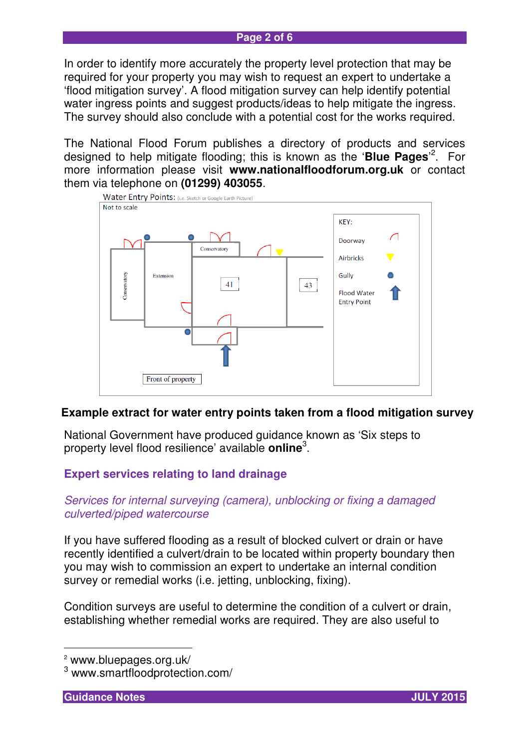#### **Page 2 of 6**

In order to identify more accurately the property level protection that may be required for your property you may wish to request an expert to undertake a 'flood mitigation survey'. A flood mitigation survey can help identify potential water ingress points and suggest products/ideas to help mitigate the ingress. The survey should also conclude with a potential cost for the works required.

The National Flood Forum publishes a directory of products and services designed to help mitigate flooding; this is known as the '**Blue Pages**' 2 . For more information please visit **www.nationalfloodforum.org.uk** or contact them via telephone on **(01299) 403055**.



## **Example extract for water entry points taken from a flood mitigation survey**

National Government have produced guidance known as 'Six steps to property level flood resilience' available **online**<sup>3</sup> .

## **Expert services relating to land drainage**

#### Services for internal surveying (camera), unblocking or fixing a damaged culverted/piped watercourse

If you have suffered flooding as a result of blocked culvert or drain or have recently identified a culvert/drain to be located within property boundary then you may wish to commission an expert to undertake an internal condition survey or remedial works (i.e. jetting, unblocking, fixing).

Condition surveys are useful to determine the condition of a culvert or drain, establishing whether remedial works are required. They are also useful to

 $\overline{a}$ 



<sup>2</sup> www.bluepages.org.uk/

<sup>3</sup> www.smartfloodprotection.com/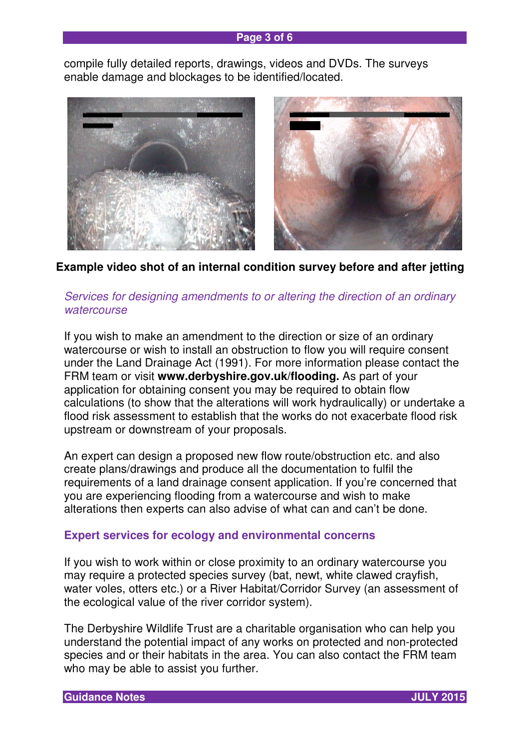#### **Page 3 of 6**

compile fully detailed reports, drawings, videos and DVDs. The surveys enable damage and blockages to be identified/located.



**Example video shot of an internal condition survey before and after jetting** 

## Services for designing amendments to or altering the direction of an ordinary **watercourse**

If you wish to make an amendment to the direction or size of an ordinary watercourse or wish to install an obstruction to flow you will require consent under the Land Drainage Act (1991). For more information please contact the FRM team or visit **www.derbyshire.gov.uk/flooding.** As part of your application for obtaining consent you may be required to obtain flow calculations (to show that the alterations will work hydraulically) or undertake a flood risk assessment to establish that the works do not exacerbate flood risk upstream or downstream of your proposals.

An expert can design a proposed new flow route/obstruction etc. and also create plans/drawings and produce all the documentation to fulfil the requirements of a land drainage consent application. If you're concerned that you are experiencing flooding from a watercourse and wish to make alterations then experts can also advise of what can and can't be done.

## **Expert services for ecology and environmental concerns**

If you wish to work within or close proximity to an ordinary watercourse you may require a protected species survey (bat, newt, white clawed crayfish, water voles, otters etc.) or a River Habitat/Corridor Survey (an assessment of the ecological value of the river corridor system).

The Derbyshire Wildlife Trust are a charitable organisation who can help you understand the potential impact of any works on protected and non-protected species and or their habitats in the area. You can also contact the FRM team who may be able to assist you further.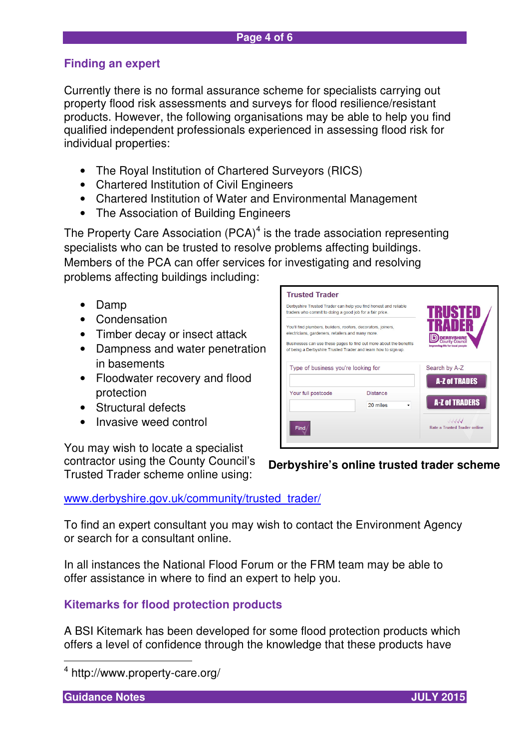# **Finding an expert**

Currently there is no formal assurance scheme for specialists carrying out property flood risk assessments and surveys for flood resilience/resistant products. However, the following organisations may be able to help you find qualified independent professionals experienced in assessing flood risk for individual properties:

- The Royal Institution of Chartered Surveyors (RICS)
- Chartered Institution of Civil Engineers
- Chartered Institution of Water and Environmental Management
- The Association of Building Engineers

The Property Care Association  $(PCA)^4$  is the trade association representing specialists who can be trusted to resolve problems affecting buildings. Members of the PCA can offer services for investigating and resolving problems affecting buildings including:

- Damp
- Condensation
- Timber decay or insect attack
- Dampness and water penetration in basements
- Floodwater recovery and flood protection
- Structural defects
- Invasive weed control

You may wish to locate a specialist contractor using the County Council's Trusted Trader scheme online using:

## www.derbyshire.gov.uk/community/trusted\_trader/

To find an expert consultant you may wish to contact the Environment Agency or search for a consultant online.

In all instances the National Flood Forum or the FRM team may be able to offer assistance in where to find an expert to help you.

## **Kitemarks for flood protection products**

A BSI Kitemark has been developed for some flood protection products which offers a level of confidence through the knowledge that these products have

**Guidance Notes JULY 2015** 

 $\overline{\phantom{a}}$ 

| Derbyshire Trusted Trader can help you find honest and reliable<br>traders who commit to doing a good job for a fair price.                                                          |                                                                    | RIST<br>31                                               |
|--------------------------------------------------------------------------------------------------------------------------------------------------------------------------------------|--------------------------------------------------------------------|----------------------------------------------------------|
| You'll find plumbers, builders, roofers, decorators, joiners,<br>electricians, gardeners, retailers and many more.<br>of being a Derbyshire Trusted Trader and learn how to sign up. | Businesses can use these pages to find out more about the benefits | <b>County Council</b><br>Improving life for local people |
| Type of business you're looking for                                                                                                                                                  |                                                                    | Search by A-Z<br><b>A-Z of TRADES</b>                    |
|                                                                                                                                                                                      |                                                                    |                                                          |
| Your full postcode                                                                                                                                                                   | <b>Distance</b><br>20 miles                                        | <b>A-Z of TRADERS</b>                                    |

# **Derbyshire's online trusted trader scheme**



<sup>4</sup> http://www.property-care.org/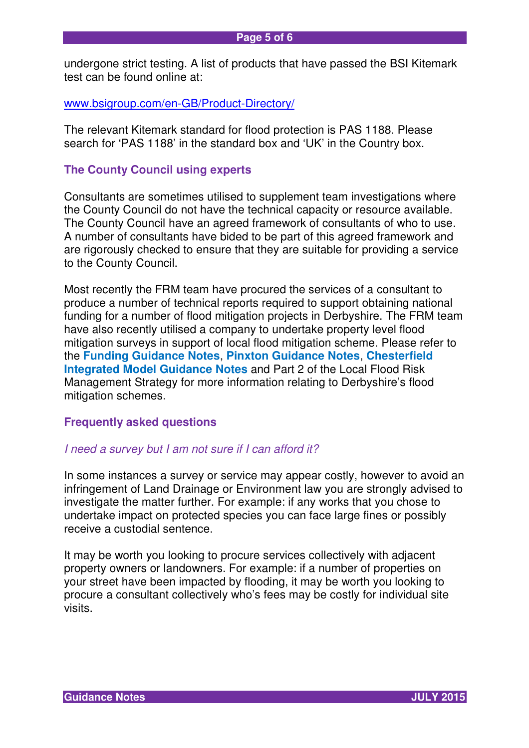undergone strict testing. A list of products that have passed the BSI Kitemark test can be found online at:

www.bsigroup.com/en-GB/Product-Directory/

The relevant Kitemark standard for flood protection is PAS 1188. Please search for 'PAS 1188' in the standard box and 'UK' in the Country box.

#### **The County Council using experts**

Consultants are sometimes utilised to supplement team investigations where the County Council do not have the technical capacity or resource available. The County Council have an agreed framework of consultants of who to use. A number of consultants have bided to be part of this agreed framework and are rigorously checked to ensure that they are suitable for providing a service to the County Council.

Most recently the FRM team have procured the services of a consultant to produce a number of technical reports required to support obtaining national funding for a number of flood mitigation projects in Derbyshire. The FRM team have also recently utilised a company to undertake property level flood mitigation surveys in support of local flood mitigation scheme. Please refer to the **Funding Guidance Notes**, **Pinxton Guidance Notes**, **Chesterfield Integrated Model Guidance Notes** and Part 2 of the Local Flood Risk Management Strategy for more information relating to Derbyshire's flood mitigation schemes.

#### **Frequently asked questions**

#### I need a survey but I am not sure if I can afford it?

In some instances a survey or service may appear costly, however to avoid an infringement of Land Drainage or Environment law you are strongly advised to investigate the matter further. For example: if any works that you chose to undertake impact on protected species you can face large fines or possibly receive a custodial sentence.

It may be worth you looking to procure services collectively with adjacent property owners or landowners. For example: if a number of properties on your street have been impacted by flooding, it may be worth you looking to procure a consultant collectively who's fees may be costly for individual site visits.